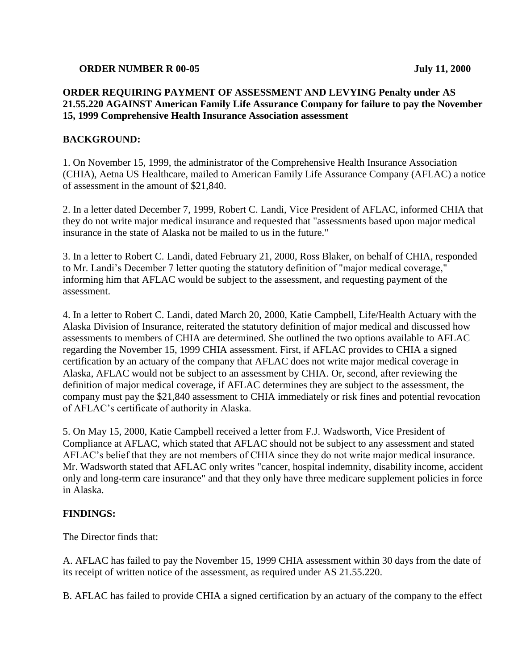#### **ORDER NUMBER R 00-05 July 11, 2000**

# **ORDER REQUIRING PAYMENT OF ASSESSMENT AND LEVYING Penalty under AS 21.55.220 AGAINST American Family Life Assurance Company for failure to pay the November 15, 1999 Comprehensive Health Insurance Association assessment**

### **BACKGROUND:**

1. On November 15, 1999, the administrator of the Comprehensive Health Insurance Association (CHIA), Aetna US Healthcare, mailed to American Family Life Assurance Company (AFLAC) a notice of assessment in the amount of \$21,840.

2. In a letter dated December 7, 1999, Robert C. Landi, Vice President of AFLAC, informed CHIA that they do not write major medical insurance and requested that "assessments based upon major medical insurance in the state of Alaska not be mailed to us in the future."

3. In a letter to Robert C. Landi, dated February 21, 2000, Ross Blaker, on behalf of CHIA, responded to Mr. Landi's December 7 letter quoting the statutory definition of "major medical coverage," informing him that AFLAC would be subject to the assessment, and requesting payment of the assessment.

4. In a letter to Robert C. Landi, dated March 20, 2000, Katie Campbell, Life/Health Actuary with the Alaska Division of Insurance, reiterated the statutory definition of major medical and discussed how assessments to members of CHIA are determined. She outlined the two options available to AFLAC regarding the November 15, 1999 CHIA assessment. First, if AFLAC provides to CHIA a signed certification by an actuary of the company that AFLAC does not write major medical coverage in Alaska, AFLAC would not be subject to an assessment by CHIA. Or, second, after reviewing the definition of major medical coverage, if AFLAC determines they are subject to the assessment, the company must pay the \$21,840 assessment to CHIA immediately or risk fines and potential revocation of AFLAC's certificate of authority in Alaska.

5. On May 15, 2000, Katie Campbell received a letter from F.J. Wadsworth, Vice President of Compliance at AFLAC, which stated that AFLAC should not be subject to any assessment and stated AFLAC's belief that they are not members of CHIA since they do not write major medical insurance. Mr. Wadsworth stated that AFLAC only writes "cancer, hospital indemnity, disability income, accident only and long-term care insurance" and that they only have three medicare supplement policies in force in Alaska.

#### **FINDINGS:**

The Director finds that:

A. AFLAC has failed to pay the November 15, 1999 CHIA assessment within 30 days from the date of its receipt of written notice of the assessment, as required under AS 21.55.220.

B. AFLAC has failed to provide CHIA a signed certification by an actuary of the company to the effect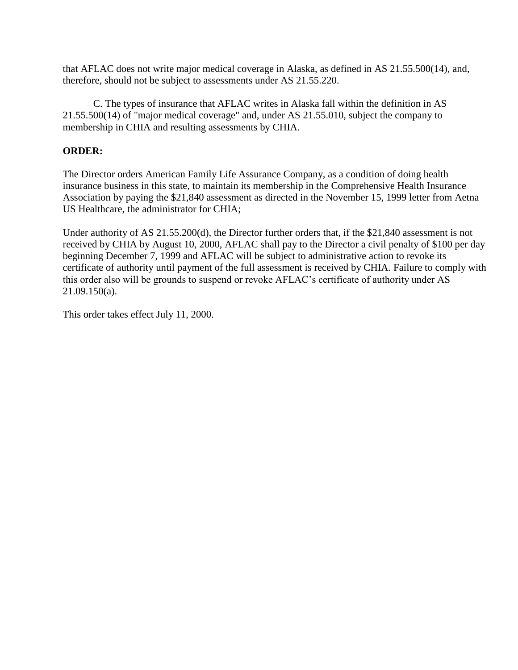that AFLAC does not write major medical coverage in Alaska, as defined in AS 21.55.500(14), and, therefore, should not be subject to assessments under AS 21.55.220.

C. The types of insurance that AFLAC writes in Alaska fall within the definition in AS 21.55.500(14) of "major medical coverage" and, under AS 21.55.010, subject the company to membership in CHIA and resulting assessments by CHIA.

## **ORDER:**

The Director orders American Family Life Assurance Company, as a condition of doing health insurance business in this state, to maintain its membership in the Comprehensive Health Insurance Association by paying the \$21,840 assessment as directed in the November 15, 1999 letter from Aetna US Healthcare, the administrator for CHIA;

Under authority of AS 21.55.200(d), the Director further orders that, if the \$21,840 assessment is not received by CHIA by August 10, 2000, AFLAC shall pay to the Director a civil penalty of \$100 per day beginning December 7, 1999 and AFLAC will be subject to administrative action to revoke its certificate of authority until payment of the full assessment is received by CHIA. Failure to comply with this order also will be grounds to suspend or revoke AFLAC's certificate of authority under AS 21.09.150(a).

This order takes effect July 11, 2000.